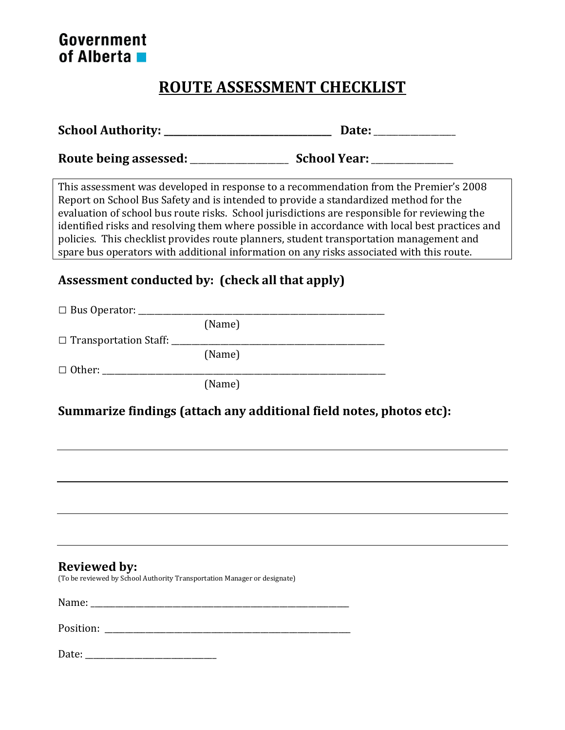## Government of Alberta

# **ROUTE ASSESSMENT CHECKLIST**

| <b>School Authority:</b> | Date:               |
|--------------------------|---------------------|
| Route being assessed:    | <b>School Year:</b> |

This assessment was developed in response to a recommendation from the Premier's 2008 Report on School Bus Safety and is intended to provide a standardized method for the evaluation of school bus route risks. School jurisdictions are responsible for reviewing the identified risks and resolving them where possible in accordance with local best practices and policies. This checklist provides route planners, student transportation management and spare bus operators with additional information on any risks associated with this route.

### **Assessment conducted by: (check all that apply)**

 $\Box$  Bus Operator:

(Name)

□ Transportation Staff: \_\_\_\_\_\_\_\_\_\_\_\_\_\_\_\_\_\_\_\_\_\_\_\_\_\_\_\_\_\_\_\_\_\_\_\_\_\_\_\_\_\_\_\_\_\_\_\_\_\_\_\_

(Name)

□ Other: \_\_\_\_\_\_\_\_\_\_\_\_\_\_\_\_\_\_\_\_\_\_\_\_\_\_\_\_\_\_\_\_\_\_\_\_\_\_\_\_\_\_\_\_\_\_\_\_\_\_\_\_\_\_\_\_\_\_\_\_\_\_\_\_\_\_\_\_\_

(Name)

### **Summarize findings (attach any additional field notes, photos etc):**

#### **Reviewed by:**

(To be reviewed by School Authority Transportation Manager or designate)

Name: \_\_\_\_\_\_\_\_\_\_\_\_\_\_\_\_\_\_\_\_\_\_\_\_\_\_\_\_\_\_\_\_\_\_\_\_\_\_\_\_\_\_\_\_\_\_\_\_\_\_\_\_\_\_\_\_\_\_\_\_\_\_\_

Position: \_\_\_\_\_\_\_\_\_\_\_\_\_\_\_\_\_\_\_\_\_\_\_\_\_\_\_\_\_\_\_\_\_\_\_\_\_\_\_\_\_\_\_\_\_\_\_\_\_\_\_\_\_\_\_\_\_\_\_\_

Date: \_\_\_\_\_\_\_\_\_\_\_\_\_\_\_\_\_\_\_\_\_\_\_\_\_\_\_\_\_\_\_\_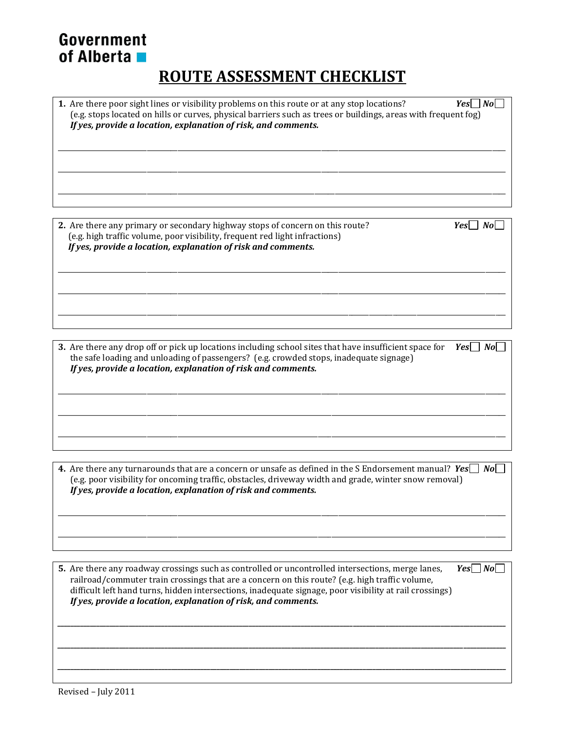# Government of Alberta

# **ROUTE ASSESSMENT CHECKLIST**

| <b>1.</b> Are there poor sight lines or visibility problems on this route or at any stop locations?<br>(e.g. stops located on hills or curves, physical barriers such as trees or buildings, areas with frequent fog)<br>If yes, provide a location, explanation of risk, and comments. | Yes    No |
|-----------------------------------------------------------------------------------------------------------------------------------------------------------------------------------------------------------------------------------------------------------------------------------------|-----------|
|                                                                                                                                                                                                                                                                                         |           |
|                                                                                                                                                                                                                                                                                         |           |
| 2. Are there any primary or secondary highway stops of concern on this route?                                                                                                                                                                                                           | Yes       |

(e.g. high traffic volume, poor visibility, frequent red light infractions) *If yes, provide a location, explanation of risk and comments.*

**3.** Are there any drop off or pick up locations including school sites that have insufficient space for *Yes* No the safe loading and unloading of passengers? (e.g. crowded stops, inadequate signage) *If yes, provide a location, explanation of risk and comments.*

\_\_\_\_\_\_\_\_\_\_\_\_\_\_\_\_\_\_\_\_\_\_\_\_\_\_\_\_\_\_\_\_\_\_\_\_\_\_\_\_\_\_\_\_\_\_\_\_\_\_\_\_\_\_\_\_\_\_\_\_\_\_\_\_\_\_\_\_\_\_\_\_\_\_\_\_\_\_\_\_\_\_\_\_\_\_\_\_\_\_\_\_\_\_\_\_\_\_\_\_\_\_\_\_\_\_\_\_\_\_\_\_\_\_\_\_\_\_\_\_\_\_\_\_\_\_\_\_\_\_\_

\_\_\_\_\_\_\_\_\_\_\_\_\_\_\_\_\_\_\_\_\_\_\_\_\_\_\_\_\_\_\_\_\_\_\_\_\_\_\_\_\_\_\_\_\_\_\_\_\_\_\_\_\_\_\_\_\_\_\_\_\_\_\_\_\_\_\_\_\_\_\_\_\_\_\_\_\_\_\_\_\_\_\_\_\_\_\_\_\_\_\_\_\_\_\_\_\_\_\_\_\_\_\_\_\_\_\_\_\_\_\_\_\_\_\_\_\_\_\_\_\_\_\_\_\_\_\_\_\_\_\_

\_\_\_\_\_\_\_\_\_\_\_\_\_\_\_\_\_\_\_\_\_\_\_\_\_\_\_\_\_\_\_\_\_\_\_\_\_\_\_\_\_\_\_\_\_\_\_\_\_\_\_\_\_\_\_\_\_\_\_\_\_\_\_\_\_\_\_\_\_\_\_\_\_\_\_\_\_\_\_\_\_\_\_\_\_\_\_\_\_\_\_\_\_\_\_\_\_\_\_\_\_\_\_\_\_\_\_\_\_\_\_\_\_\_\_\_\_\_\_\_\_\_\_\_\_\_\_\_\_\_\_

\_\_\_\_\_\_\_\_\_\_\_\_\_\_\_\_\_\_\_\_\_\_\_\_\_\_\_\_\_\_\_\_\_\_\_\_\_\_\_\_\_\_\_\_\_\_\_\_\_\_\_\_\_\_\_\_\_\_\_\_\_\_\_\_\_\_\_\_\_\_\_\_\_\_\_\_\_\_\_\_\_\_\_\_\_\_\_\_\_\_\_\_\_\_\_\_\_\_\_\_\_\_\_\_\_\_\_\_\_\_\_\_\_\_\_\_\_\_\_\_\_\_\_\_\_\_\_\_\_\_\_

\_\_\_\_\_\_\_\_\_\_\_\_\_\_\_\_\_\_\_\_\_\_\_\_\_\_\_\_\_\_\_\_\_\_\_\_\_\_\_\_\_\_\_\_\_\_\_\_\_\_\_\_\_\_\_\_\_\_\_\_\_\_\_\_\_\_\_\_\_\_\_\_\_\_\_\_\_\_\_\_\_\_\_\_\_\_\_\_\_\_\_\_\_\_\_\_\_\_\_\_\_\_\_\_\_\_\_\_\_\_\_\_\_\_\_\_\_\_\_\_\_\_\_\_\_\_\_\_\_\_\_

\_\_\_\_\_\_\_\_\_\_\_\_\_\_\_\_\_\_\_\_\_\_\_\_\_\_\_\_\_\_\_\_\_\_\_\_\_\_\_\_\_\_\_\_\_\_\_\_\_\_\_\_\_\_\_\_\_\_\_\_\_\_\_\_\_\_\_\_\_\_\_\_\_\_\_\_\_\_\_\_\_\_\_\_\_\_\_\_\_\_\_\_\_\_\_\_\_\_\_\_\_\_\_\_\_\_\_\_\_\_\_\_\_\_\_\_\_\_\_\_\_\_\_\_\_\_\_\_\_\_\_

**4.** Are there any turnarounds that are a concern or unsafe as defined in the S Endorsement manual?  $Yes \cap No \square$ (e.g. poor visibility for oncoming traffic, obstacles, driveway width and grade, winter snow removal) *If yes, provide a location, explanation of risk and comments.*

\_\_\_\_\_\_\_\_\_\_\_\_\_\_\_\_\_\_\_\_\_\_\_\_\_\_\_\_\_\_\_\_\_\_\_\_\_\_\_\_\_\_\_\_\_\_\_\_\_\_\_\_\_\_\_\_\_\_\_\_\_\_\_\_\_\_\_\_\_\_\_\_\_\_\_\_\_\_\_\_\_\_\_\_\_\_\_\_\_\_\_\_\_\_\_\_\_\_\_\_\_\_\_\_\_\_\_\_\_\_\_\_\_\_\_\_\_\_\_\_\_\_\_\_\_\_\_\_\_\_\_

\_\_\_\_\_\_\_\_\_\_\_\_\_\_\_\_\_\_\_\_\_\_\_\_\_\_\_\_\_\_\_\_\_\_\_\_\_\_\_\_\_\_\_\_\_\_\_\_\_\_\_\_\_\_\_\_\_\_\_\_\_\_\_\_\_\_\_\_\_\_\_\_\_\_\_\_\_\_\_\_\_\_\_\_\_\_\_\_\_\_\_\_\_\_\_\_\_\_\_\_\_\_\_\_\_\_\_\_\_\_\_\_\_\_\_\_\_\_\_\_\_\_\_\_\_\_\_\_\_\_\_

*\_\_\_\_\_\_\_\_\_\_\_\_\_\_\_\_\_\_\_\_\_\_\_\_\_\_\_\_\_\_\_\_\_\_\_\_\_\_\_\_\_\_\_\_\_\_\_\_\_\_\_\_\_\_\_\_\_\_\_\_\_\_\_\_\_\_\_\_\_\_\_\_\_\_\_\_\_\_\_\_\_\_\_\_\_\_\_\_\_\_\_\_\_\_\_\_\_\_\_\_\_\_\_\_\_\_\_\_\_\_\_\_\_\_\_\_\_\_\_\_\_\_\_\_\_\_\_\_\_\_\_\_\_\_\_\_\_\_*

*\_\_\_\_\_\_\_\_\_\_\_\_\_\_\_\_\_\_\_\_\_\_\_\_\_\_\_\_\_\_\_\_\_\_\_\_\_\_\_\_\_\_\_\_\_\_\_\_\_\_\_\_\_\_\_\_\_\_\_\_\_\_\_\_\_\_\_\_\_\_\_\_\_\_\_\_\_\_\_\_\_\_\_\_\_\_\_\_\_\_\_\_\_\_\_\_\_\_\_\_\_\_\_\_\_\_\_\_\_\_\_\_\_\_\_\_\_\_\_\_\_\_\_\_\_\_\_\_\_\_\_\_\_\_\_\_\_\_*

*\_\_\_\_\_\_\_\_\_\_\_\_\_\_\_\_\_\_\_\_\_\_\_\_\_\_\_\_\_\_\_\_\_\_\_\_\_\_\_\_\_\_\_\_\_\_\_\_\_\_\_\_\_\_\_\_\_\_\_\_\_\_\_\_\_\_\_\_\_\_\_\_\_\_\_\_\_\_\_\_\_\_\_\_\_\_\_\_\_\_\_\_\_\_\_\_\_\_\_\_\_\_\_\_\_\_\_\_\_\_\_\_\_\_\_\_\_\_\_\_\_\_\_\_\_\_\_\_\_\_\_\_\_\_\_\_\_\_*

**5.** Are there any roadway crossings such as controlled or uncontrolled intersections, merge lanes, *Yes No* railroad/commuter train crossings that are a concern on this route? (e.g. high traffic volume, difficult left hand turns, hidden intersections, inadequate signage, poor visibility at rail crossings) *If yes, provide a location, explanation of risk, and comments.*